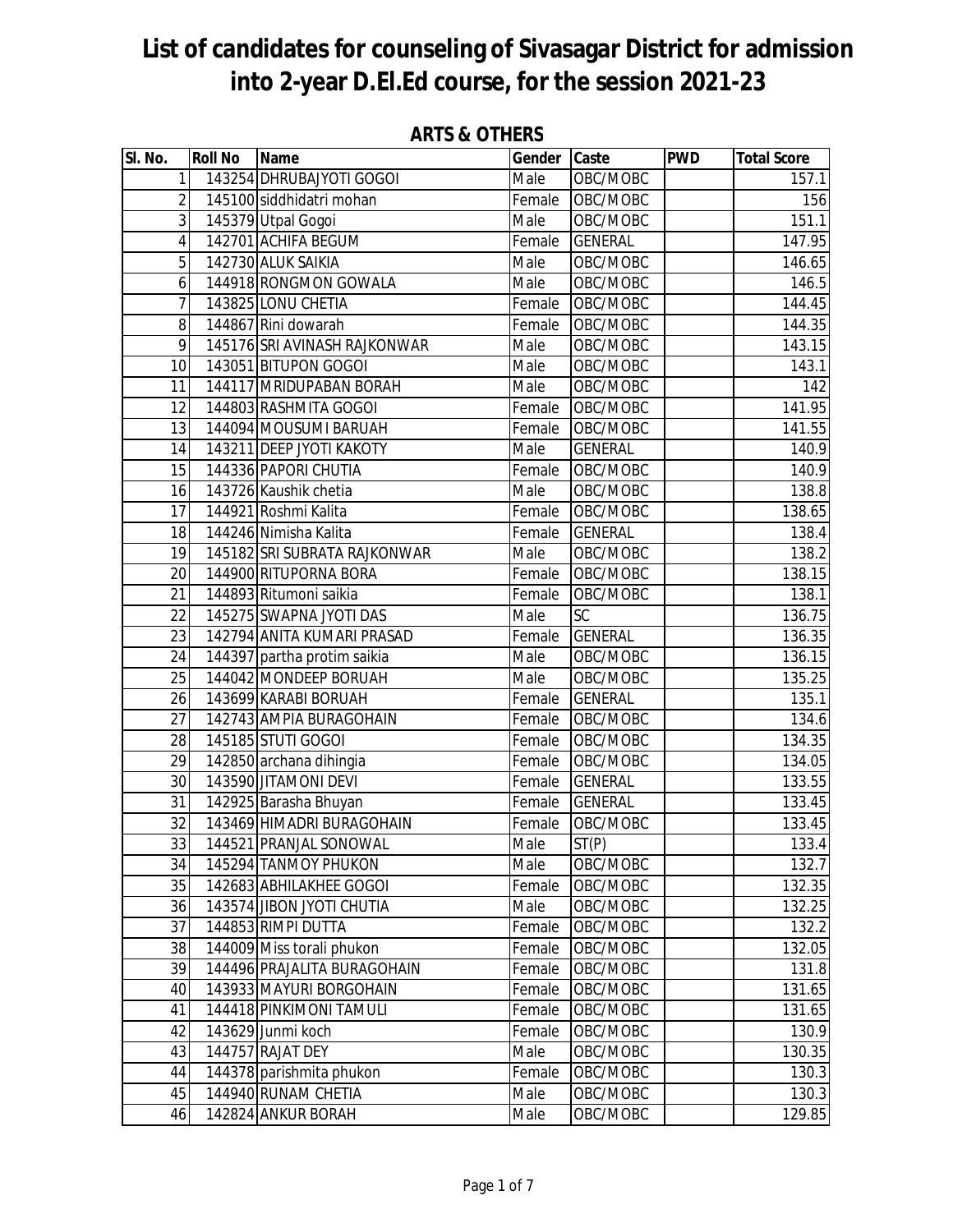| SI. No.         | <b>Roll No</b> | <b>Name</b>                  | Gender Caste |                | <b>PWD</b> | <b>Total Score</b> |
|-----------------|----------------|------------------------------|--------------|----------------|------------|--------------------|
| $\mathbf{1}$    |                | 143254 DHRUBAJYOTI GOGOI     | Male         | OBC/MOBC       |            | 157.1              |
| $\overline{2}$  |                | 145100 siddhidatri mohan     | Female       | OBC/MOBC       |            | 156                |
| 3               |                | 145379 Utpal Gogoi           | Male         | OBC/MOBC       |            | 151.1              |
| $\overline{4}$  |                | 142701 ACHIFA BEGUM          | Female       | <b>GENERAL</b> |            | 147.95             |
| $\overline{5}$  |                | 142730 ALUK SAIKIA           | Male         | OBC/MOBC       |            | 146.65             |
| 6               |                | 144918 RONGMON GOWALA        | Male         | OBC/MOBC       |            | 146.5              |
| $\overline{7}$  |                | 143825 LONU CHETIA           | Female       | OBC/MOBC       |            | 144.45             |
| 8               |                | 144867 Rini dowarah          | Female       | OBC/MOBC       |            | 144.35             |
| 9               |                | 145176 SRI AVINASH RAJKONWAR | Male         | OBC/MOBC       |            | 143.15             |
| 10              |                | 143051 BITUPON GOGOI         | Male         | OBC/MOBC       |            | 143.1              |
| 11              |                | 144117 MRIDUPABAN BORAH      | Male         | OBC/MOBC       |            | 142                |
| 12              |                | 144803 RASHMITA GOGOI        | Female       | OBC/MOBC       |            | 141.95             |
| 13              |                | 144094 MOUSUMI BARUAH        | Female       | OBC/MOBC       |            | 141.55             |
| 14              |                | 143211 DEEP JYOTI KAKOTY     | Male         | <b>GENERAL</b> |            | 140.9              |
| 15              |                | 144336 PAPORI CHUTIA         | Female       | OBC/MOBC       |            | 140.9              |
| 16              |                | 143726 Kaushik chetia        | Male         | OBC/MOBC       |            | 138.8              |
| 17              |                | 144921 Roshmi Kalita         | Female       | OBC/MOBC       |            | 138.65             |
| 18              |                | 144246 Nimisha Kalita        | Female       | <b>GENERAL</b> |            | 138.4              |
| 19              |                | 145182 SRI SUBRATA RAJKONWAR | Male         | OBC/MOBC       |            | 138.2              |
| 20              |                | 144900 RITUPORNA BORA        | Female       | OBC/MOBC       |            | 138.15             |
| 21              |                | 144893 Ritumoni saikia       | Female       | OBC/MOBC       |            | 138.1              |
| 22              |                | 145275 SWAPNA JYOTI DAS      | Male         | <b>SC</b>      |            | 136.75             |
| 23              |                | 142794 ANITA KUMARI PRASAD   | Female       | <b>GENERAL</b> |            | 136.35             |
| 24              |                | 144397 partha protim saikia  | Male         | OBC/MOBC       |            | 136.15             |
| 25              |                | 144042 MONDEEP BORUAH        | Male         | OBC/MOBC       |            | 135.25             |
| 26              |                | 143699 KARABI BORUAH         | Female       | <b>GENERAL</b> |            | 135.1              |
| 27              |                | 142743 AMPIA BURAGOHAIN      | Female       | OBC/MOBC       |            | 134.6              |
| 28              |                | 145185 STUTI GOGOI           | Female       | OBC/MOBC       |            | 134.35             |
| 29              |                | 142850 archana dihingia      | Female       | OBC/MOBC       |            | 134.05             |
| 30              |                | 143590 JITAMONI DEVI         | Female       | <b>GENERAL</b> |            | 133.55             |
| 31              |                | 142925 Barasha Bhuyan        | Female       | <b>GENERAL</b> |            | 133.45             |
| $\overline{32}$ |                | 143469 HIMADRI BURAGOHAIN    | Female       | OBC/MOBC       |            | 133.45             |
| 33              |                | 144521 PRANJAL SONOWAL       | Male         | ST(P)          |            | 133.4              |
| 34              |                | 145294 TANMOY PHUKON         | Male         | OBC/MOBC       |            | 132.7              |
| 35              |                | 142683 ABHILAKHEE GOGOI      | Female       | OBC/MOBC       |            | 132.35             |
| 36              |                | 143574 JIBON JYOTI CHUTIA    | Male         | OBC/MOBC       |            | 132.25             |
| 37              |                | 144853 RIMPI DUTTA           | Female       | OBC/MOBC       |            | 132.2              |
| 38              |                | 144009 Miss torali phukon    | Female       | OBC/MOBC       |            | 132.05             |
| 39              |                | 144496 PRAJALITA BURAGOHAIN  | Female       | OBC/MOBC       |            | 131.8              |
| 40              |                | 143933 MAYURI BORGOHAIN      | Female       | OBC/MOBC       |            | 131.65             |
| 41              |                | 144418 PINKIMONI TAMULI      | Female       | OBC/MOBC       |            | 131.65             |
| 42              |                | 143629 Junmi koch            | Female       | OBC/MOBC       |            | 130.9              |
| 43              |                | 144757 RAJAT DEY             | Male         | OBC/MOBC       |            | 130.35             |
| 44              |                | 144378 parishmita phukon     | Female       | OBC/MOBC       |            | 130.3              |
| 45              |                | 144940 RUNAM CHETIA          | Male         | OBC/MOBC       |            | 130.3              |
| 46              |                | 142824 ANKUR BORAH           | Male         | OBC/MOBC       |            | 129.85             |

#### **ARTS & OTHERS**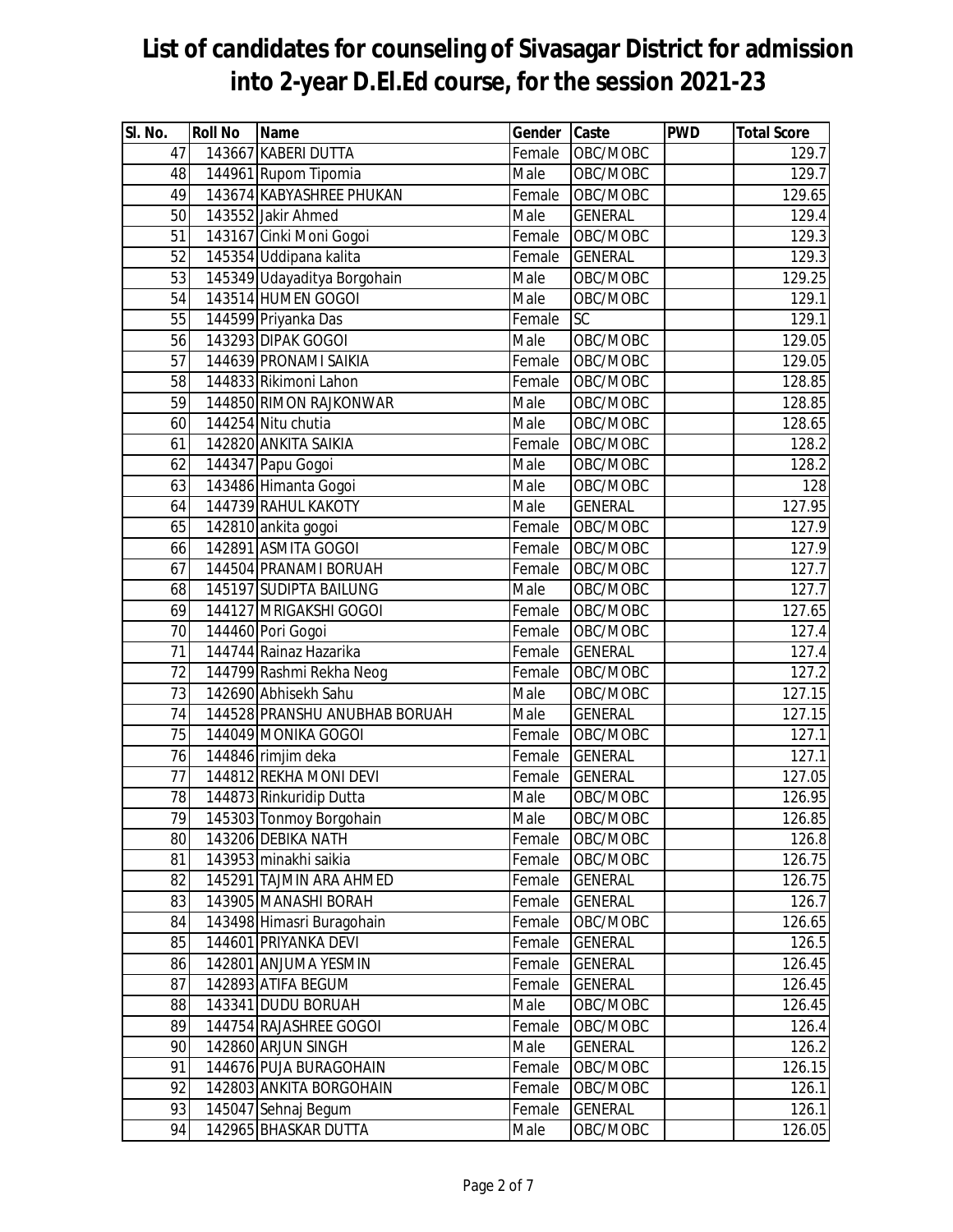| SI. No. | <b>Roll No</b> | Name                          | Gender Caste |                | <b>PWD</b> | <b>Total Score</b> |
|---------|----------------|-------------------------------|--------------|----------------|------------|--------------------|
| 47      |                | 143667 KABERI DUTTA           | Female       | OBC/MOBC       |            | $\overline{1}29.7$ |
| 48      |                | 144961 Rupom Tipomia          | Male         | OBC/MOBC       |            | 129.7              |
| 49      |                | 143674 KABYASHREE PHUKAN      | Female       | OBC/MOBC       |            | 129.65             |
| 50      |                | 143552 Jakir Ahmed            | Male         | <b>GENERAL</b> |            | 129.4              |
| 51      |                | 143167 Cinki Moni Gogoi       | Female       | OBC/MOBC       |            | 129.3              |
| 52      |                | 145354 Uddipana kalita        | Female       | <b>GENERAL</b> |            | 129.3              |
| 53      |                | 145349 Udayaditya Borgohain   | Male         | OBC/MOBC       |            | 129.25             |
| 54      |                | 143514 HUMEN GOGOI            | Male         | OBC/MOBC       |            | 129.1              |
| 55      |                | 144599 Priyanka Das           | Female       | <b>SC</b>      |            | 129.1              |
| 56      |                | 143293 DIPAK GOGOI            | Male         | OBC/MOBC       |            | 129.05             |
| 57      |                | 144639 PRONAMI SAIKIA         | Female       | OBC/MOBC       |            | 129.05             |
| 58      |                | 144833 Rikimoni Lahon         | Female       | OBC/MOBC       |            | 128.85             |
| 59      |                | 144850 RIMON RAJKONWAR        | Male         | OBC/MOBC       |            | 128.85             |
| 60      |                | 144254 Nitu chutia            | Male         | OBC/MOBC       |            | 128.65             |
| 61      |                | 142820 ANKITA SAIKIA          | Female       | OBC/MOBC       |            | 128.2              |
| 62      |                | 144347 Papu Gogoi             | Male         | OBC/MOBC       |            | 128.2              |
| 63      |                | 143486 Himanta Gogoi          | Male         | OBC/MOBC       |            | 128                |
| 64      |                | 144739 RAHUL KAKOTY           | Male         | <b>GENERAL</b> |            | 127.95             |
| 65      |                | 142810 ankita gogoi           | Female       | OBC/MOBC       |            | 127.9              |
| 66      |                | 142891 ASMITA GOGOI           | Female       | OBC/MOBC       |            | 127.9              |
| 67      |                | 144504 PRANAMI BORUAH         | Female       | OBC/MOBC       |            | 127.7              |
| 68      |                | 145197 SUDIPTA BAILUNG        | Male         | OBC/MOBC       |            | 127.7              |
| 69      |                | 144127 MRIGAKSHI GOGOI        | Female       | OBC/MOBC       |            | 127.65             |
| 70      |                | 144460 Pori Gogoi             | Female       | OBC/MOBC       |            | 127.4              |
| 71      |                | 144744 Rainaz Hazarika        | Female       | <b>GENERAL</b> |            | 127.4              |
| 72      |                | 144799 Rashmi Rekha Neog      | Female       | OBC/MOBC       |            | 127.2              |
| 73      |                | 142690 Abhisekh Sahu          | Male         | OBC/MOBC       |            | 127.15             |
| 74      |                | 144528 PRANSHU ANUBHAB BORUAH | Male         | <b>GENERAL</b> |            | 127.15             |
| 75      |                | 144049 MONIKA GOGOI           | Female       | OBC/MOBC       |            | 127.1              |
| 76      |                | 144846 rimjim deka            | Female       | <b>GENERAL</b> |            | 127.1              |
| 77      |                | 144812 REKHA MONI DEVI        | Female       | <b>GENERAL</b> |            | 127.05             |
| 78      |                | 144873 Rinkuridip Dutta       | Male         | OBC/MOBC       |            | 126.95             |
| 79      |                | 145303 Tonmoy Borgohain       | Male         | OBC/MOBC       |            | 126.85             |
| 80      |                | 143206 DEBIKA NATH            | Female       | OBC/MOBC       |            | 126.8              |
| 81      |                | 143953 minakhi saikia         | Female       | OBC/MOBC       |            | 126.75             |
| 82      |                | 145291 TAJMIN ARA AHMED       | Female       | <b>GENERAL</b> |            | 126.75             |
| 83      |                | 143905 MANASHI BORAH          | Female       | <b>GENERAL</b> |            | 126.7              |
| 84      |                | 143498 Himasri Buragohain     | Female       | OBC/MOBC       |            | 126.65             |
| 85      |                | 144601 PRIYANKA DEVI          | Female       | <b>GENERAL</b> |            | 126.5              |
| 86      |                | 142801 ANJUMA YESMIN          | Female       | <b>GENERAL</b> |            | 126.45             |
| 87      |                | 142893 ATIFA BEGUM            | Female       | <b>GENERAL</b> |            | 126.45             |
| 88      |                | 143341 DUDU BORUAH            | Male         | OBC/MOBC       |            | 126.45             |
| 89      |                | 144754 RAJASHREE GOGOI        | Female       | OBC/MOBC       |            | 126.4              |
| 90      |                | 142860 ARJUN SINGH            | Male         | <b>GENERAL</b> |            | 126.2              |
| 91      |                | 144676 PUJA BURAGOHAIN        | Female       | OBC/MOBC       |            | 126.15             |
| 92      |                | 142803 ANKITA BORGOHAIN       | Female       | OBC/MOBC       |            | 126.1              |
| 93      |                | 145047 Sehnaj Begum           | Female       | <b>GENERAL</b> |            | 126.1              |
| 94      |                | 142965 BHASKAR DUTTA          | Male         | OBC/MOBC       |            | 126.05             |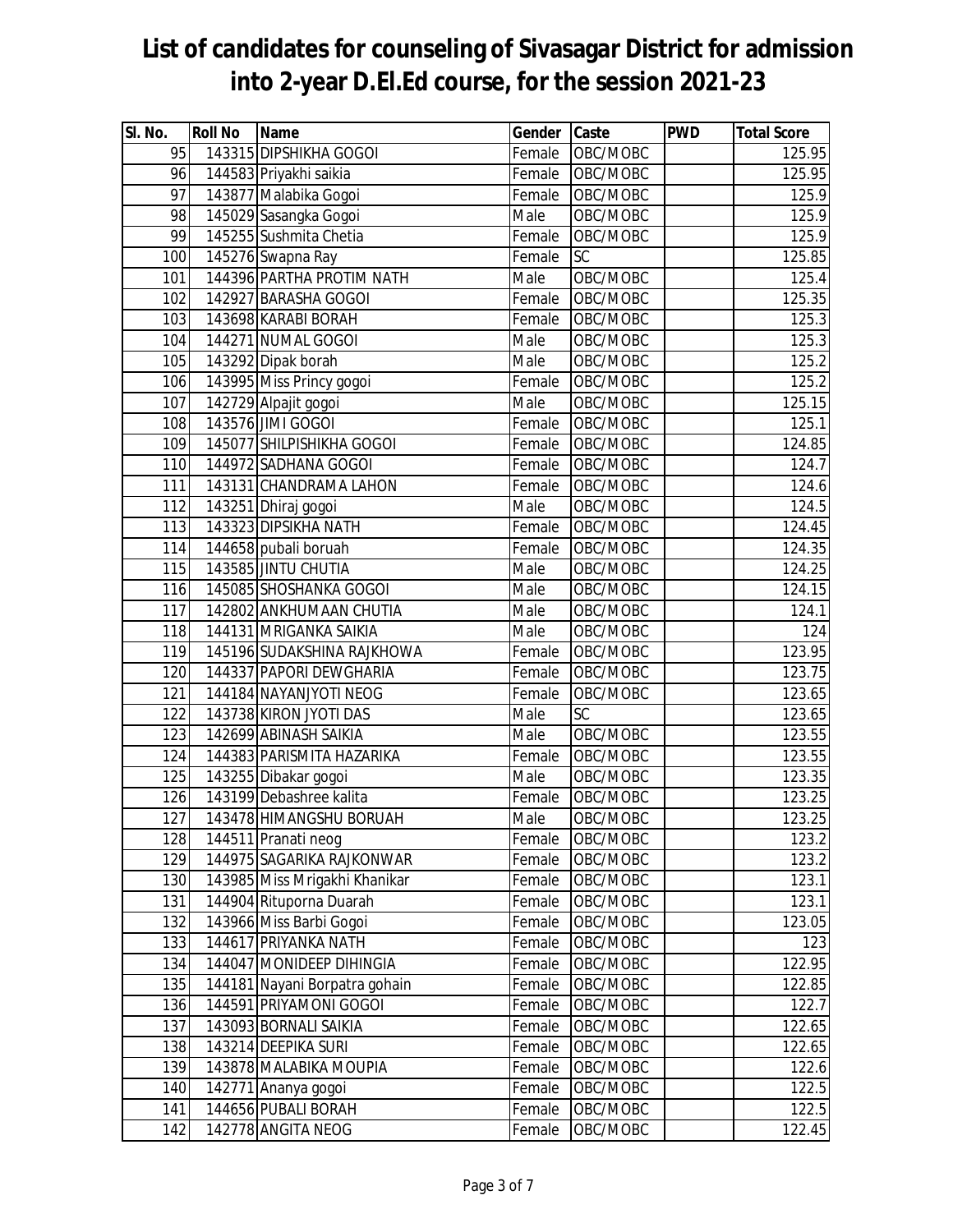| SI. No.          | <b>Roll No</b> | <b>Name</b>                   | Gender Caste |           | <b>PWD</b> | <b>Total Score</b> |
|------------------|----------------|-------------------------------|--------------|-----------|------------|--------------------|
| 95               |                | 143315 DIPSHIKHA GOGOI        | Female       | OBC/MOBC  |            | 125.95             |
| 96               |                | 144583 Priyakhi saikia        | Female       | OBC/MOBC  |            | 125.95             |
| 97               |                | 143877 Malabika Gogoi         | Female       | OBC/MOBC  |            | 125.9              |
| 98               |                | 145029 Sasangka Gogoi         | Male         | OBC/MOBC  |            | 125.9              |
| 99               |                | 145255 Sushmita Chetia        | Female       | OBC/MOBC  |            | 125.9              |
| 100              |                | 145276 Swapna Ray             | Female       | <b>SC</b> |            | 125.85             |
| 101              |                | 144396 PARTHA PROTIM NATH     | Male         | OBC/MOBC  |            | 125.4              |
| 102              |                | 142927 BARASHA GOGOI          | Female       | OBC/MOBC  |            | 125.35             |
| 103              |                | 143698 KARABI BORAH           | Female       | OBC/MOBC  |            | 125.3              |
| 104              |                | 144271 NUMAL GOGOI            | Male         | OBC/MOBC  |            | 125.3              |
| 105              |                | 143292 Dipak borah            | Male         | OBC/MOBC  |            | 125.2              |
| 106              |                | 143995 Miss Princy gogoi      | Female       | OBC/MOBC  |            | 125.2              |
| 107              |                | 142729 Alpajit gogoi          | Male         | OBC/MOBC  |            | 125.15             |
| 108              |                | 143576 JIMI GOGOI             | Female       | OBC/MOBC  |            | 125.1              |
| 109              |                | 145077 SHILPISHIKHA GOGOI     | Female       | OBC/MOBC  |            | 124.85             |
| 110              |                | 144972 SADHANA GOGOI          | Female       | OBC/MOBC  |            | 124.7              |
| 111              |                | 143131 CHANDRAMA LAHON        | Female       | OBC/MOBC  |            | 124.6              |
| 112              |                | 143251 Dhiraj gogoi           | Male         | OBC/MOBC  |            | 124.5              |
| 113              |                | 143323 DIPSIKHA NATH          | Female       | OBC/MOBC  |            | 124.45             |
| $\overline{114}$ |                | 144658 pubali boruah          | Female       | OBC/MOBC  |            | 124.35             |
| 115              |                | 143585 JINTU CHUTIA           | Male         | OBC/MOBC  |            | 124.25             |
| 116              |                | 145085 SHOSHANKA GOGOI        | Male         | OBC/MOBC  |            | 124.15             |
| 117              |                | 142802 ANKHUMAAN CHUTIA       | Male         | OBC/MOBC  |            | 124.1              |
| 118              |                | 144131 MRIGANKA SAIKIA        | Male         | OBC/MOBC  |            | 124                |
| 119              |                | 145196 SUDAKSHINA RAJKHOWA    | Female       | OBC/MOBC  |            | 123.95             |
| 120              |                | 144337 PAPORI DEWGHARIA       | Female       | OBC/MOBC  |            | 123.75             |
| 121              |                | 144184 NAYANJYOTI NEOG        | Female       | OBC/MOBC  |            | 123.65             |
| 122              |                | 143738 KIRON JYOTI DAS        | Male         | <b>SC</b> |            | 123.65             |
| 123              |                | 142699 ABINASH SAIKIA         | Male         | OBC/MOBC  |            | 123.55             |
| 124              |                | 144383 PARISMITA HAZARIKA     | Female       | OBC/MOBC  |            | 123.55             |
| 125              |                | 143255 Dibakar gogoi          | Male         | OBC/MOBC  |            | 123.35             |
| 126              |                | 143199 Debashree kalita       | Female       | OBC/MOBC  |            | 123.25             |
| 127              |                | 143478 HIMANGSHU BORUAH       | Male         | OBC/MOBC  |            | 123.25             |
| 128              |                | 144511 Pranati neog           | Female       | OBC/MOBC  |            | 123.2              |
| 129              |                | 144975 SAGARIKA RAJKONWAR     | Female       | OBC/MOBC  |            | 123.2              |
| 130              |                | 143985 Miss Mrigakhi Khanikar | Female       | OBC/MOBC  |            | 123.1              |
| 131              |                | 144904 Rituporna Duarah       | Female       | OBC/MOBC  |            | 123.1              |
| 132              |                | 143966 Miss Barbi Gogoi       | Female       | OBC/MOBC  |            | 123.05             |
| 133              |                | 144617 PRIYANKA NATH          | Female       | OBC/MOBC  |            | 123                |
| 134              |                | 144047 MONIDEEP DIHINGIA      | Female       | OBC/MOBC  |            | 122.95             |
| 135              |                | 144181 Nayani Borpatra gohain | Female       | OBC/MOBC  |            | 122.85             |
| 136              |                | 144591 PRIYAMONI GOGOI        | Female       | OBC/MOBC  |            | 122.7              |
| 137              |                | 143093 BORNALI SAIKIA         | Female       | OBC/MOBC  |            | 122.65             |
| 138              |                | 143214 DEEPIKA SURI           | Female       | OBC/MOBC  |            | 122.65             |
| 139              |                | 143878 MALABIKA MOUPIA        | Female       | OBC/MOBC  |            | 122.6              |
| 140              |                | 142771 Ananya gogoi           | Female       | OBC/MOBC  |            | 122.5              |
| 141              |                | 144656 PUBALI BORAH           | Female       | OBC/MOBC  |            | 122.5              |
| 142              |                | 142778 ANGITA NEOG            | Female       | OBC/MOBC  |            | 122.45             |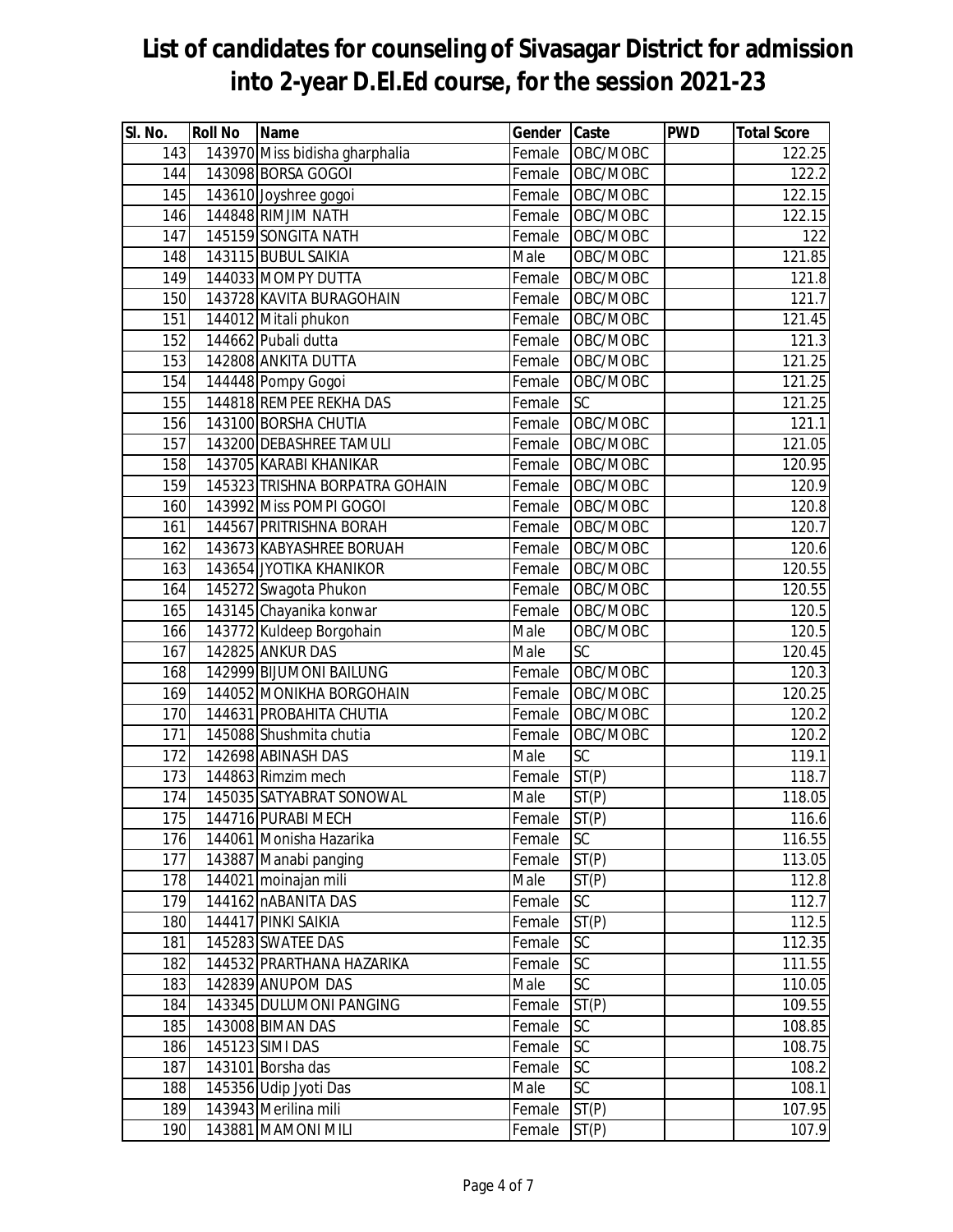| SI. No.          | <b>Roll No</b> | Name                           | Gender Caste |           | <b>PWD</b> | <b>Total Score</b> |
|------------------|----------------|--------------------------------|--------------|-----------|------------|--------------------|
| 143              |                | 143970 Miss bidisha gharphalia | Female       | OBC/MOBC  |            | 122.25             |
| 144              |                | 143098 BORSA GOGOI             | Female       | OBC/MOBC  |            | 122.2              |
| 145              |                | 143610 Joyshree gogoi          | Female       | OBC/MOBC  |            | 122.15             |
| 146              |                | 144848 RIMJIM NATH             | Female       | OBC/MOBC  |            | 122.15             |
| 147              |                | 145159 SONGITA NATH            | Female       | OBC/MOBC  |            | 122                |
| 148              |                | 143115 BUBUL SAIKIA            | Male         | OBC/MOBC  |            | 121.85             |
| 149              |                | 144033 MOMPY DUTTA             | Female       | OBC/MOBC  |            | 121.8              |
| 150              |                | 143728 KAVITA BURAGOHAIN       | Female       | OBC/MOBC  |            | 121.7              |
| 151              |                | 144012 Mitali phukon           | Female       | OBC/MOBC  |            | 121.45             |
| $\overline{1}52$ |                | 144662 Pubali dutta            | Female       | OBC/MOBC  |            | 121.3              |
| 153              |                | 142808 ANKITA DUTTA            | Female       | OBC/MOBC  |            | 121.25             |
| 154              |                | 144448 Pompy Gogoi             | Female       | OBC/MOBC  |            | 121.25             |
| 155              |                | 144818 REMPEE REKHA DAS        | Female       | SC        |            | 121.25             |
| 156              |                | 143100 BORSHA CHUTIA           | Female       | OBC/MOBC  |            | 121.1              |
| 157              |                | 143200 DEBASHREE TAMULI        | Female       | OBC/MOBC  |            | 121.05             |
| 158              |                | 143705 KARABI KHANIKAR         | Female       | OBC/MOBC  |            | 120.95             |
| 159              |                | 145323 TRISHNA BORPATRA GOHAIN | Female       | OBC/MOBC  |            | 120.9              |
| 160              |                | 143992 Miss POMPI GOGOI        | Female       | OBC/MOBC  |            | 120.8              |
| 161              |                | 144567 PRITRISHNA BORAH        | Female       | OBC/MOBC  |            | 120.7              |
| 162              |                | 143673 KABYASHREE BORUAH       | Female       | OBC/MOBC  |            | 120.6              |
| 163              |                | 143654 JYOTIKA KHANIKOR        | Female       | OBC/MOBC  |            | 120.55             |
| 164              |                | 145272 Swagota Phukon          | Female       | OBC/MOBC  |            | 120.55             |
| 165              |                | 143145 Chayanika konwar        | Female       | OBC/MOBC  |            | 120.5              |
| 166              |                | 143772 Kuldeep Borgohain       | Male         | OBC/MOBC  |            | 120.5              |
| 167              |                | 142825 ANKUR DAS               | Male         | SC        |            | 120.45             |
| 168              |                | 142999 BIJUMONI BAILUNG        | Female       | OBC/MOBC  |            | 120.3              |
| 169              |                | 144052 MONIKHA BORGOHAIN       | Female       | OBC/MOBC  |            | 120.25             |
| 170              |                | 144631 PROBAHITA CHUTIA        | Female       | OBC/MOBC  |            | 120.2              |
| 171              |                | 145088 Shushmita chutia        | Female       | OBC/MOBC  |            | 120.2              |
| 172              |                | 142698 ABINASH DAS             | Male         | SC        |            | 119.1              |
| 173              |                | 144863 Rimzim mech             | Female       | ST(P)     |            | 118.7              |
| 174              |                | 145035 SATYABRAT SONOWAL       | Male         | ST(P)     |            | 118.05             |
| 175              |                | 144716 PURABI MECH             | Female       | ST(P)     |            | 116.6              |
| 176              |                | 144061 Monisha Hazarika        | Female       | SC        |            | 116.55             |
| 177              |                | 143887 Manabi panging          | Female       | ST(P)     |            | 113.05             |
| 178              |                | 144021 moinajan mili           | Male         | ST(P)     |            | 112.8              |
| 179              |                | 144162 nABANITA DAS            | Female       | <b>SC</b> |            | 112.7              |
| 180              |                | 144417 PINKI SAIKIA            | Female       | ST(P)     |            | 112.5              |
| 181              |                | 145283 SWATEE DAS              | Female       | SC        |            | 112.35             |
| 182              |                | 144532 PRARTHANA HAZARIKA      | Female       | <b>SC</b> |            | 111.55             |
| 183              |                | 142839 ANUPOM DAS              | Male         | SC        |            | 110.05             |
| 184              |                | 143345 DULUMONI PANGING        | Female       | ST(P)     |            | 109.55             |
| 185              |                | 143008 BIMAN DAS               | Female       | SC        |            | 108.85             |
| 186              |                | 145123 SIMI DAS                | Female       | SC        |            | 108.75             |
| 187              |                | 143101 Borsha das              | Female       | SC        |            | 108.2              |
| 188              |                | 145356 Udip Jyoti Das          | Male         | SC        |            | 108.1              |
| 189              |                | 143943 Merilina mili           | Female       | ST(P)     |            | 107.95             |
| 190              |                | 143881 MAMONI MILI             | Female       | ST(P)     |            | 107.9              |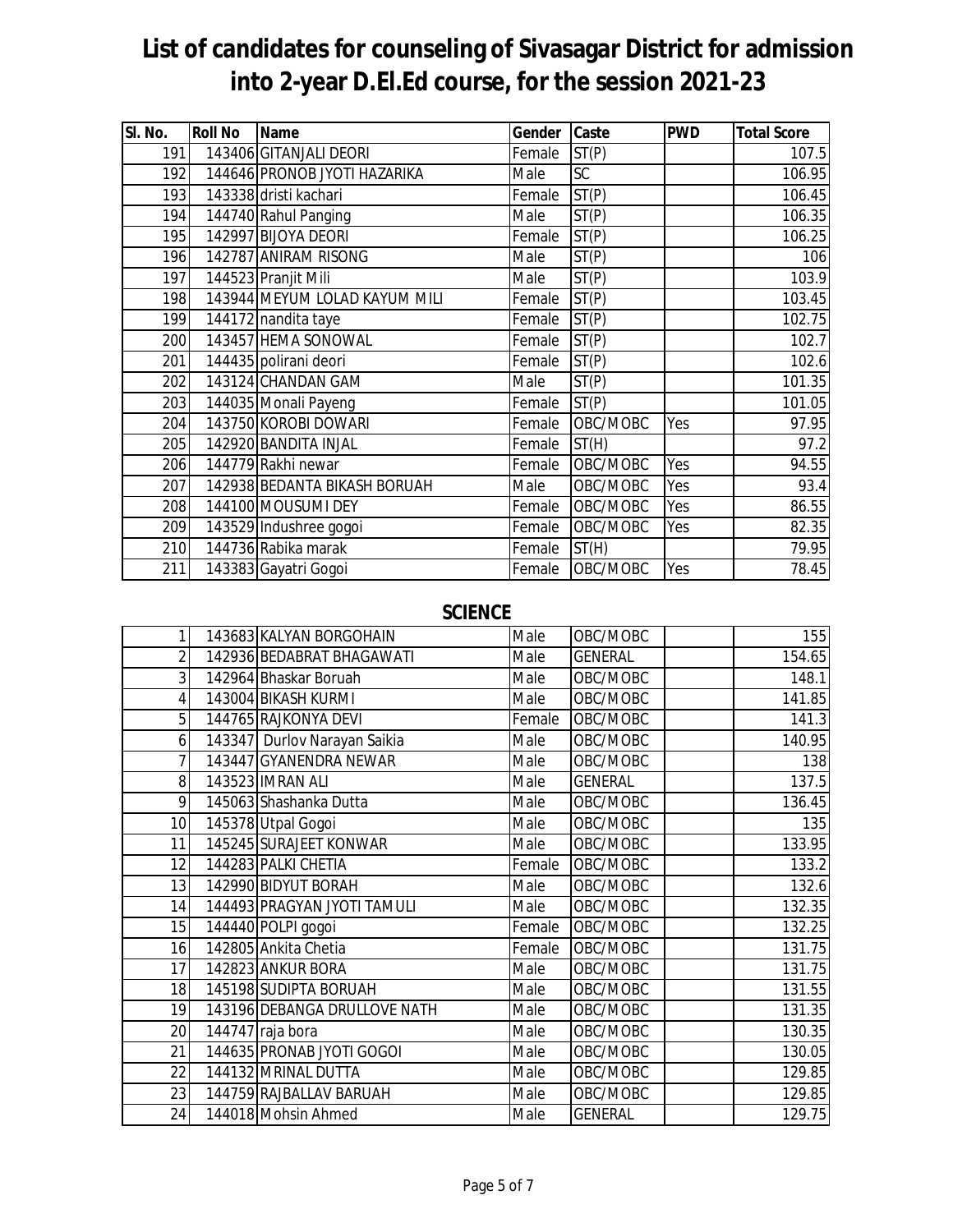| SI. No. | <b>Roll No</b> | <b>Name</b>                   | Gender | Caste              | <b>PWD</b> | <b>Total Score</b> |
|---------|----------------|-------------------------------|--------|--------------------|------------|--------------------|
| 191     |                | 143406 GITANJALI DEORI        | Female | ST(P)              |            | 107.5              |
| 192     |                | 144646 PRONOB JYOTI HAZARIKA  | Male   | SC                 |            | 106.95             |
| 193     |                | 143338 dristi kachari         | Female | ST(P)              |            | 106.45             |
| 194     |                | 144740 Rahul Panging          | Male   | ST(P)              |            | 106.35             |
| 195     |                | 142997 BIJOYA DEORI           | Female | ST(P)              |            | 106.25             |
| 196     |                | 142787 ANIRAM RISONG          | Male   | ST(P)              |            | 106                |
| 197     |                | 144523 Pranjit Mili           | Male   | $\overline{ST}(P)$ |            | 103.9              |
| 198     |                | 143944 MEYUM LOLAD KAYUM MILI | Female | ST(P)              |            | 103.45             |
| 199     |                | 144172 nandita taye           | Female | ST(P)              |            | 102.75             |
| 200     |                | 143457 HEMA SONOWAL           | Female | ST(P)              |            | 102.7              |
| 201     |                | 144435 polirani deori         | Female | ST(P)              |            | 102.6              |
| 202     |                | 143124 CHANDAN GAM            | Male   | ST(P)              |            | 101.35             |
| 203     |                | 144035 Monali Payeng          | Female | ST(P)              |            | 101.05             |
| 204     |                | 143750 KOROBI DOWARI          | Female | OBC/MOBC           | Yes        | 97.95              |
| 205     |                | 142920 BANDITA INJAL          | Female | ST(H)              |            | 97.2               |
| 206     |                | 144779 Rakhi newar            | Female | OBC/MOBC           | Yes        | 94.55              |
| 207     |                | 142938 BEDANTA BIKASH BORUAH  | Male   | OBC/MOBC           | Yes        | 93.4               |
| 208     |                | 144100 MOUSUMI DEY            | Female | OBC/MOBC           | Yes        | 86.55              |
| 209     |                | 143529 Indushree gogoi        | Female | OBC/MOBC           | Yes        | 82.35              |
| 210     |                | 144736 Rabika marak           | Female | ST(H)              |            | 79.95              |
| 211     |                | 143383 Gayatri Gogoi          | Female | OBC/MOBC           | Yes        | 78.45              |

#### **SCIENCE**

| $\mathbf{1}$    | 143683 KALYAN BORGOHAIN      | Male   | OBC/MOBC       | 155    |
|-----------------|------------------------------|--------|----------------|--------|
| $\overline{2}$  | 142936 BEDABRAT BHAGAWATI    | Male   | <b>GENERAL</b> | 154.65 |
| 3               | 142964 Bhaskar Boruah        | Male   | OBC/MOBC       | 148.1  |
| 4               | 143004 BIKASH KURMI          | Male   | OBC/MOBC       | 141.85 |
| 5               | 144765 RAJKONYA DEVI         | Female | OBC/MOBC       | 141.3  |
| 6               | 143347 Durlov Narayan Saikia | Male   | OBC/MOBC       | 140.95 |
| 7               | 143447 GYANENDRA NEWAR       | Male   | OBC/MOBC       | 138    |
| 8               | 143523 IMRAN ALI             | Male   | <b>GENERAL</b> | 137.5  |
| 9               | 145063 Shashanka Dutta       | Male   | OBC/MOBC       | 136.45 |
| 10              | 145378 Utpal Gogoi           | Male   | OBC/MOBC       | 135    |
| 11              | 145245 SURAJEET KONWAR       | Male   | OBC/MOBC       | 133.95 |
| 12              | 144283 PALKI CHETIA          | Female | OBC/MOBC       | 133.2  |
| 13              | 142990 BIDYUT BORAH          | Male   | OBC/MOBC       | 132.6  |
| 14              | 144493 PRAGYAN JYOTI TAMULI  | Male   | OBC/MOBC       | 132.35 |
| 15              | 144440 POLPI gogoi           | Female | OBC/MOBC       | 132.25 |
| 16              | 142805 Ankita Chetia         | Female | OBC/MOBC       | 131.75 |
| 17              | 142823 ANKUR BORA            | Male   | OBC/MOBC       | 131.75 |
| 18              | 145198 SUDIPTA BORUAH        | Male   | OBC/MOBC       | 131.55 |
| 19              | 143196 DEBANGA DRULLOVE NATH | Male   | OBC/MOBC       | 131.35 |
| 20              | 144747 raja bora             | Male   | OBC/MOBC       | 130.35 |
| $\overline{21}$ | 144635 PRONAB JYOTI GOGOI    | Male   | OBC/MOBC       | 130.05 |
| 22              | 144132 MRINAL DUTTA          | Male   | OBC/MOBC       | 129.85 |
| 23              | 144759 RAJBALLAV BARUAH      | Male   | OBC/MOBC       | 129.85 |
| 24              | 144018 Mohsin Ahmed          | Male   | <b>GENERAL</b> | 129.75 |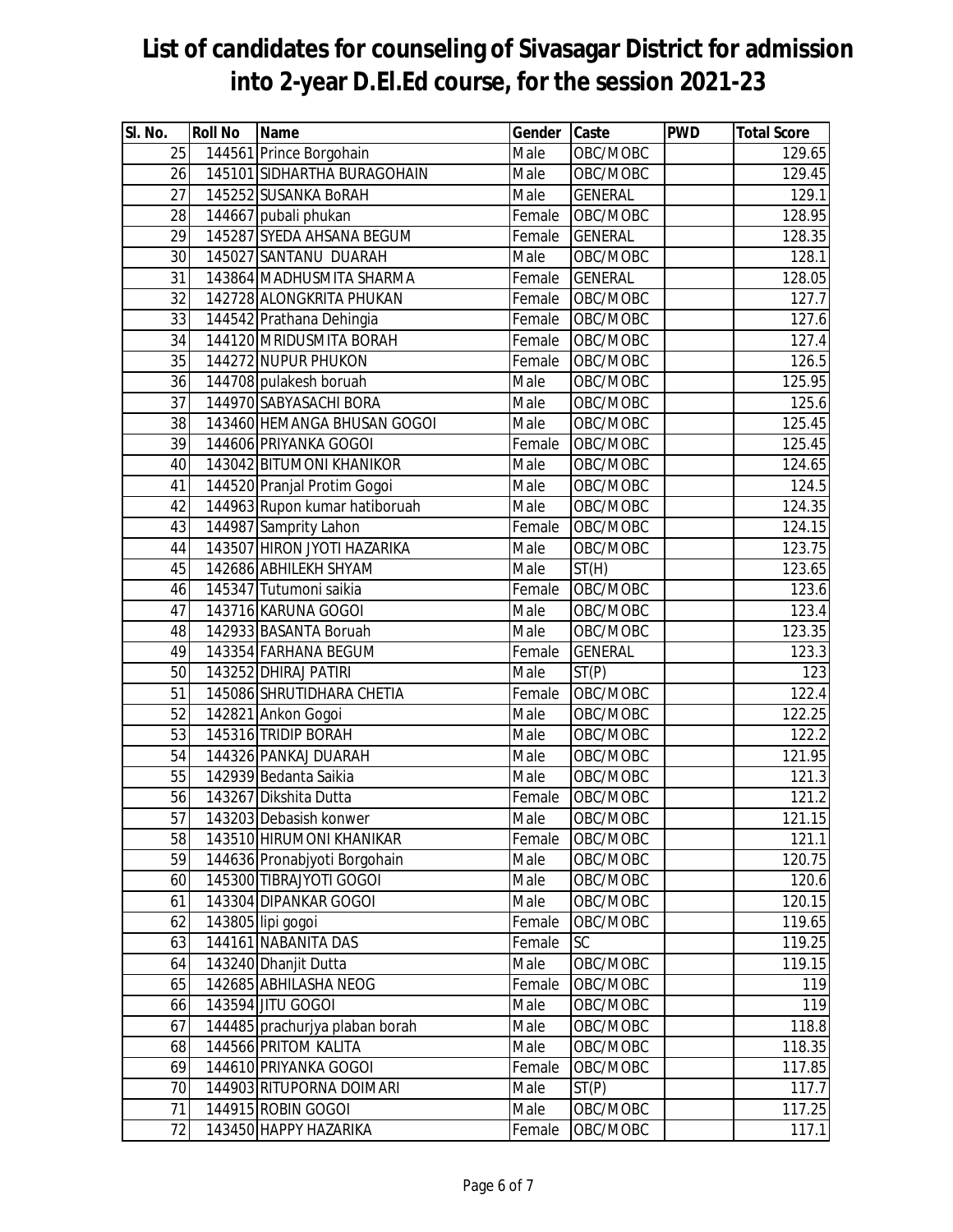| SI. No.         | <b>Roll No</b> | <b>Name</b>                    | Gender Caste |                | <b>PWD</b> | <b>Total Score</b> |
|-----------------|----------------|--------------------------------|--------------|----------------|------------|--------------------|
| 25              |                | 144561 Prince Borgohain        | Male         | OBC/MOBC       |            | 129.65             |
| 26              |                | 145101 SIDHARTHA BURAGOHAIN    | Male         | OBC/MOBC       |            | 129.45             |
| 27              |                | 145252 SUSANKA BoRAH           | Male         | <b>GENERAL</b> |            | 129.1              |
| 28              |                | 144667 pubali phukan           | Female       | OBC/MOBC       |            | 128.95             |
| 29              |                | 145287 SYEDA AHSANA BEGUM      | Female       | <b>GENERAL</b> |            | 128.35             |
| 30              |                | 145027 SANTANU DUARAH          | Male         | OBC/MOBC       |            | 128.1              |
| 31              |                | 143864 MADHUSMITA SHARMA       | Female       | <b>GENERAL</b> |            | 128.05             |
| 32              |                | 142728 ALONGKRITA PHUKAN       | Female       | OBC/MOBC       |            | 127.7              |
| 33              |                | 144542 Prathana Dehingia       | Female       | OBC/MOBC       |            | 127.6              |
| 34              |                | 144120 MRIDUSMITA BORAH        | Female       | OBC/MOBC       |            | 127.4              |
| 35              |                | 144272 NUPUR PHUKON            | Female       | OBC/MOBC       |            | 126.5              |
| $\overline{36}$ |                | 144708 pulakesh boruah         | Male         | OBC/MOBC       |            | 125.95             |
| 37              |                | 144970 SABYASACHI BORA         | Male         | OBC/MOBC       |            | 125.6              |
| 38              |                | 143460 HEMANGA BHUSAN GOGOI    | Male         | OBC/MOBC       |            | 125.45             |
| 39              |                | 144606 PRIYANKA GOGOI          | Female       | OBC/MOBC       |            | 125.45             |
| 40              |                | 143042 BITUMONI KHANIKOR       | Male         | OBC/MOBC       |            | 124.65             |
| 41              |                | 144520 Pranjal Protim Gogoi    | Male         | OBC/MOBC       |            | 124.5              |
| 42              |                | 144963 Rupon kumar hatiboruah  | Male         | OBC/MOBC       |            | 124.35             |
| 43              |                | 144987 Samprity Lahon          | Female       | OBC/MOBC       |            | 124.15             |
| 44              |                | 143507 HIRON JYOTI HAZARIKA    | Male         | OBC/MOBC       |            | 123.75             |
| 45              |                | 142686 ABHILEKH SHYAM          | Male         | ST(H)          |            | 123.65             |
| 46              |                | 145347 Tutumoni saikia         | Female       | OBC/MOBC       |            | 123.6              |
| 47              |                | 143716 KARUNA GOGOI            | Male         | OBC/MOBC       |            | 123.4              |
| 48              |                | 142933 BASANTA Boruah          | Male         | OBC/MOBC       |            | 123.35             |
| 49              |                | 143354 FARHANA BEGUM           | Female       | <b>GENERAL</b> |            | 123.3              |
| 50              |                | 143252 DHIRAJ PATIRI           | Male         | ST(P)          |            | 123                |
| 51              |                | 145086 SHRUTIDHARA CHETIA      | Female       | OBC/MOBC       |            | 122.4              |
| 52              |                | 142821 Ankon Gogoi             | Male         | OBC/MOBC       |            | 122.25             |
| 53              |                | 145316 TRIDIP BORAH            | Male         | OBC/MOBC       |            | 122.2              |
| 54              |                | 144326 PANKAJ DUARAH           | Male         | OBC/MOBC       |            | 121.95             |
| 55              |                | 142939 Bedanta Saikia          | Male         | OBC/MOBC       |            | 121.3              |
| 56              |                | 143267 Dikshita Dutta          | Female       | OBC/MOBC       |            | 121.2              |
| 57              |                | 143203 Debasish konwer         | Male         | OBC/MOBC       |            | 121.15             |
| 58              |                | 143510 HIRUMONI KHANIKAR       | Female       | OBC/MOBC       |            | 121.1              |
| 59              |                | 144636 Pronabjyoti Borgohain   | Male         | OBC/MOBC       |            | 120.75             |
| 60              |                | 145300 TIBRAJYOTI GOGOI        | Male         | OBC/MOBC       |            | 120.6              |
| 61              |                | 143304 DIPANKAR GOGOI          | Male         | OBC/MOBC       |            | 120.15             |
| 62              |                | 143805 lipi gogoi              | Female       | OBC/MOBC       |            | 119.65             |
| 63              |                | 144161 NABANITA DAS            | Female       | SC             |            | 119.25             |
| 64              |                | 143240 Dhanjit Dutta           | Male         | OBC/MOBC       |            | 119.15             |
| 65              |                | 142685 ABHILASHA NEOG          | Female       | OBC/MOBC       |            | 119                |
| 66              |                | 143594 JITU GOGOI              | Male         | OBC/MOBC       |            | 119                |
| 67              |                | 144485 prachurjya plaban borah | Male         | OBC/MOBC       |            | 118.8              |
| 68              |                | 144566 PRITOM KALITA           | Male         | OBC/MOBC       |            | 118.35             |
| 69              |                | 144610 PRIYANKA GOGOI          | Female       | OBC/MOBC       |            | 117.85             |
| 70              |                | 144903 RITUPORNA DOIMARI       | Male         | ST(P)          |            | 117.7              |
| 71              |                | 144915 ROBIN GOGOI             | Male         | OBC/MOBC       |            | 117.25             |
| 72              |                | 143450 HAPPY HAZARIKA          | Female       | OBC/MOBC       |            | 117.1              |